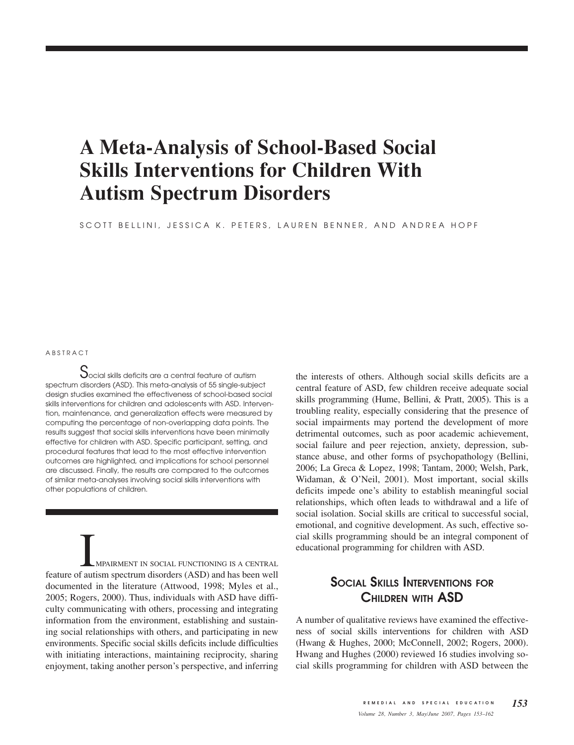# **A Meta-Analysis of School-Based Social Skills Interventions for Children With Autism Spectrum Disorders**

SCOTT BELLINI, JESSICA K. PETERS, LAUREN BENNER, AND ANDREA HOPF

#### ABSTRACT

 $\mathcal S$ ocial skills deficits are a central feature of autism spectrum disorders (ASD). This meta-analysis of 55 single-subject design studies examined the effectiveness of school-based social skills interventions for children and adolescents with ASD. Intervention, maintenance, and generalization effects were measured by computing the percentage of non-overlapping data points. The results suggest that social skills interventions have been minimally effective for children with ASD. Specific participant, setting, and procedural features that lead to the most effective intervention outcomes are highlighted, and implications for school personnel are discussed. Finally, the results are compared to the outcomes of similar meta-analyses involving social skills interventions with other populations of children.

IMPAIRMENT IN SOCIAL FUNCTIONING IS A CENTRAL feature of autism spectrum disorders (ASD) and has been well documented in the literature (Attwood, 1998; Myles et al., 2005; Rogers, 2000). Thus, individuals with ASD have difficulty communicating with others, processing and integrating information from the environment, establishing and sustaining social relationships with others, and participating in new environments. Specific social skills deficits include difficulties with initiating interactions, maintaining reciprocity, sharing enjoyment, taking another person's perspective, and inferring

the interests of others. Although social skills deficits are a central feature of ASD, few children receive adequate social skills programming (Hume, Bellini, & Pratt, 2005). This is a troubling reality, especially considering that the presence of social impairments may portend the development of more detrimental outcomes, such as poor academic achievement, social failure and peer rejection, anxiety, depression, substance abuse, and other forms of psychopathology (Bellini, 2006; La Greca & Lopez, 1998; Tantam, 2000; Welsh, Park, Widaman, & O'Neil, 2001). Most important, social skills deficits impede one's ability to establish meaningful social relationships, which often leads to withdrawal and a life of social isolation. Social skills are critical to successful social, emotional, and cognitive development. As such, effective social skills programming should be an integral component of educational programming for children with ASD.

## **SOCIAL SKILLS INTERVENTIONS FOR CHILDREN WITH ASD**

A number of qualitative reviews have examined the effectiveness of social skills interventions for children with ASD (Hwang & Hughes, 2000; McConnell, 2002; Rogers, 2000). Hwang and Hughes (2000) reviewed 16 studies involving social skills programming for children with ASD between the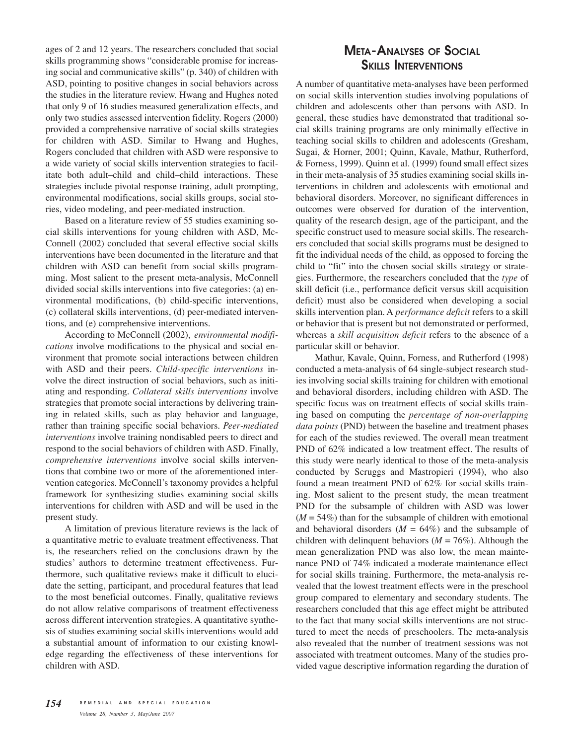ages of 2 and 12 years. The researchers concluded that social skills programming shows "considerable promise for increasing social and communicative skills" (p. 340) of children with ASD, pointing to positive changes in social behaviors across the studies in the literature review. Hwang and Hughes noted that only 9 of 16 studies measured generalization effects, and only two studies assessed intervention fidelity. Rogers (2000) provided a comprehensive narrative of social skills strategies for children with ASD. Similar to Hwang and Hughes, Rogers concluded that children with ASD were responsive to a wide variety of social skills intervention strategies to facilitate both adult–child and child–child interactions. These strategies include pivotal response training, adult prompting, environmental modifications, social skills groups, social stories, video modeling, and peer-mediated instruction.

Based on a literature review of 55 studies examining social skills interventions for young children with ASD, Mc-Connell (2002) concluded that several effective social skills interventions have been documented in the literature and that children with ASD can benefit from social skills programming. Most salient to the present meta-analysis, McConnell divided social skills interventions into five categories: (a) environmental modifications, (b) child-specific interventions, (c) collateral skills interventions, (d) peer-mediated interventions, and (e) comprehensive interventions.

According to McConnell (2002), *environmental modifications* involve modifications to the physical and social environment that promote social interactions between children with ASD and their peers. *Child-specific interventions* involve the direct instruction of social behaviors, such as initiating and responding. *Collateral skills interventions* involve strategies that promote social interactions by delivering training in related skills, such as play behavior and language, rather than training specific social behaviors. *Peer-mediated interventions* involve training nondisabled peers to direct and respond to the social behaviors of children with ASD. Finally, *comprehensive interventions* involve social skills interventions that combine two or more of the aforementioned intervention categories. McConnell's taxonomy provides a helpful framework for synthesizing studies examining social skills interventions for children with ASD and will be used in the present study.

A limitation of previous literature reviews is the lack of a quantitative metric to evaluate treatment effectiveness. That is, the researchers relied on the conclusions drawn by the studies' authors to determine treatment effectiveness. Furthermore, such qualitative reviews make it difficult to elucidate the setting, participant, and procedural features that lead to the most beneficial outcomes. Finally, qualitative reviews do not allow relative comparisons of treatment effectiveness across different intervention strategies. A quantitative synthesis of studies examining social skills interventions would add a substantial amount of information to our existing knowledge regarding the effectiveness of these interventions for children with ASD.

# **META-ANALYSES OF SOCIAL SKILLS INTERVENTIONS**

A number of quantitative meta-analyses have been performed on social skills intervention studies involving populations of children and adolescents other than persons with ASD. In general, these studies have demonstrated that traditional social skills training programs are only minimally effective in teaching social skills to children and adolescents (Gresham, Sugai, & Horner, 2001; Quinn, Kavale, Mathur, Rutherford, & Forness, 1999). Quinn et al. (1999) found small effect sizes in their meta-analysis of 35 studies examining social skills interventions in children and adolescents with emotional and behavioral disorders. Moreover, no significant differences in outcomes were observed for duration of the intervention, quality of the research design, age of the participant, and the specific construct used to measure social skills. The researchers concluded that social skills programs must be designed to fit the individual needs of the child, as opposed to forcing the child to "fit" into the chosen social skills strategy or strategies. Furthermore, the researchers concluded that the *type* of skill deficit (i.e., performance deficit versus skill acquisition deficit) must also be considered when developing a social skills intervention plan. A *performance deficit* refers to a skill or behavior that is present but not demonstrated or performed, whereas a *skill acquisition deficit* refers to the absence of a particular skill or behavior.

Mathur, Kavale, Quinn, Forness, and Rutherford (1998) conducted a meta-analysis of 64 single-subject research studies involving social skills training for children with emotional and behavioral disorders, including children with ASD. The specific focus was on treatment effects of social skills training based on computing the *percentage of non-overlapping data points* (PND) between the baseline and treatment phases for each of the studies reviewed. The overall mean treatment PND of 62% indicated a low treatment effect. The results of this study were nearly identical to those of the meta-analysis conducted by Scruggs and Mastropieri (1994), who also found a mean treatment PND of 62% for social skills training. Most salient to the present study, the mean treatment PND for the subsample of children with ASD was lower  $(M = 54\%)$  than for the subsample of children with emotional and behavioral disorders  $(M = 64\%)$  and the subsample of children with delinquent behaviors ( $M = 76\%$ ). Although the mean generalization PND was also low, the mean maintenance PND of 74% indicated a moderate maintenance effect for social skills training. Furthermore, the meta-analysis revealed that the lowest treatment effects were in the preschool group compared to elementary and secondary students. The researchers concluded that this age effect might be attributed to the fact that many social skills interventions are not structured to meet the needs of preschoolers. The meta-analysis also revealed that the number of treatment sessions was not associated with treatment outcomes. Many of the studies provided vague descriptive information regarding the duration of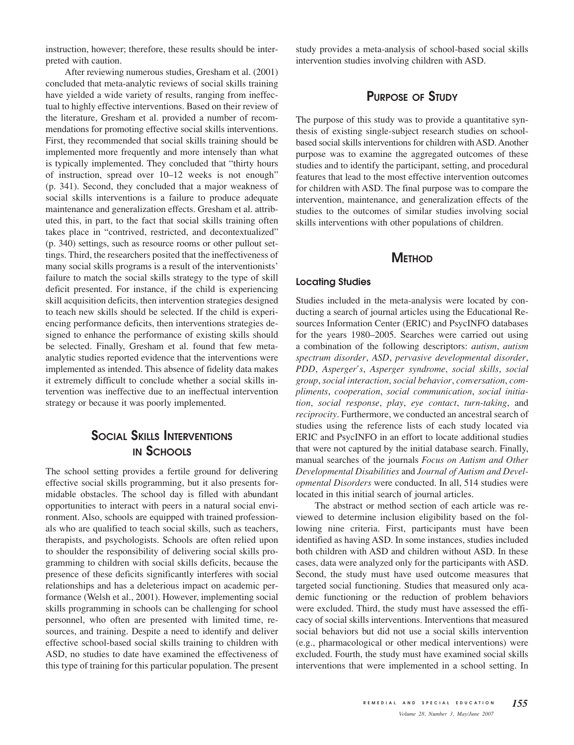instruction, however; therefore, these results should be interpreted with caution.

After reviewing numerous studies, Gresham et al. (2001) concluded that meta-analytic reviews of social skills training have yielded a wide variety of results, ranging from ineffectual to highly effective interventions. Based on their review of the literature, Gresham et al. provided a number of recommendations for promoting effective social skills interventions. First, they recommended that social skills training should be implemented more frequently and more intensely than what is typically implemented. They concluded that "thirty hours of instruction, spread over 10–12 weeks is not enough" (p. 341). Second, they concluded that a major weakness of social skills interventions is a failure to produce adequate maintenance and generalization effects. Gresham et al. attributed this, in part, to the fact that social skills training often takes place in "contrived, restricted, and decontextualized" (p. 340) settings, such as resource rooms or other pullout settings. Third, the researchers posited that the ineffectiveness of many social skills programs is a result of the interventionists' failure to match the social skills strategy to the type of skill deficit presented. For instance, if the child is experiencing skill acquisition deficits, then intervention strategies designed to teach new skills should be selected. If the child is experiencing performance deficits, then interventions strategies designed to enhance the performance of existing skills should be selected. Finally, Gresham et al. found that few metaanalytic studies reported evidence that the interventions were implemented as intended. This absence of fidelity data makes it extremely difficult to conclude whether a social skills intervention was ineffective due to an ineffectual intervention strategy or because it was poorly implemented.

# **SOCIAL SKILLS INTERVENTIONS IN SCHOOLS**

The school setting provides a fertile ground for delivering effective social skills programming, but it also presents formidable obstacles. The school day is filled with abundant opportunities to interact with peers in a natural social environment. Also, schools are equipped with trained professionals who are qualified to teach social skills, such as teachers, therapists, and psychologists. Schools are often relied upon to shoulder the responsibility of delivering social skills programming to children with social skills deficits, because the presence of these deficits significantly interferes with social relationships and has a deleterious impact on academic performance (Welsh et al., 2001). However, implementing social skills programming in schools can be challenging for school personnel, who often are presented with limited time, resources, and training. Despite a need to identify and deliver effective school-based social skills training to children with ASD, no studies to date have examined the effectiveness of this type of training for this particular population. The present

study provides a meta-analysis of school-based social skills intervention studies involving children with ASD.

## **PURPOSE OF STUDY**

The purpose of this study was to provide a quantitative synthesis of existing single-subject research studies on schoolbased social skills interventions for children with ASD. Another purpose was to examine the aggregated outcomes of these studies and to identify the participant, setting, and procedural features that lead to the most effective intervention outcomes for children with ASD. The final purpose was to compare the intervention, maintenance, and generalization effects of the studies to the outcomes of similar studies involving social skills interventions with other populations of children.

## **METHOD**

#### **Locating Studies**

Studies included in the meta-analysis were located by conducting a search of journal articles using the Educational Resources Information Center (ERIC) and PsycINFO databases for the years 1980–2005. Searches were carried out using a combination of the following descriptors: *autism*, *autism spectrum disorder*, *ASD*, *pervasive developmental disorder*, *PDD*, *Asperger's*, *Asperger syndrome*, *social skills*, *social group*, *social interaction*, *social behavior*, *conversation*, *compliments*, *cooperation*, *social communication*, *social initiation*, *social response*, *play*, *eye contact*, *turn-taking*, and *reciprocity*. Furthermore, we conducted an ancestral search of studies using the reference lists of each study located via ERIC and PsycINFO in an effort to locate additional studies that were not captured by the initial database search. Finally, manual searches of the journals *Focus on Autism and Other Developmental Disabilities* and *Journal of Autism and Developmental Disorders* were conducted. In all, 514 studies were located in this initial search of journal articles.

The abstract or method section of each article was reviewed to determine inclusion eligibility based on the following nine criteria. First, participants must have been identified as having ASD. In some instances, studies included both children with ASD and children without ASD. In these cases, data were analyzed only for the participants with ASD. Second, the study must have used outcome measures that targeted social functioning. Studies that measured only academic functioning or the reduction of problem behaviors were excluded. Third, the study must have assessed the efficacy of social skills interventions. Interventions that measured social behaviors but did not use a social skills intervention (e.g., pharmacological or other medical interventions) were excluded. Fourth, the study must have examined social skills interventions that were implemented in a school setting. In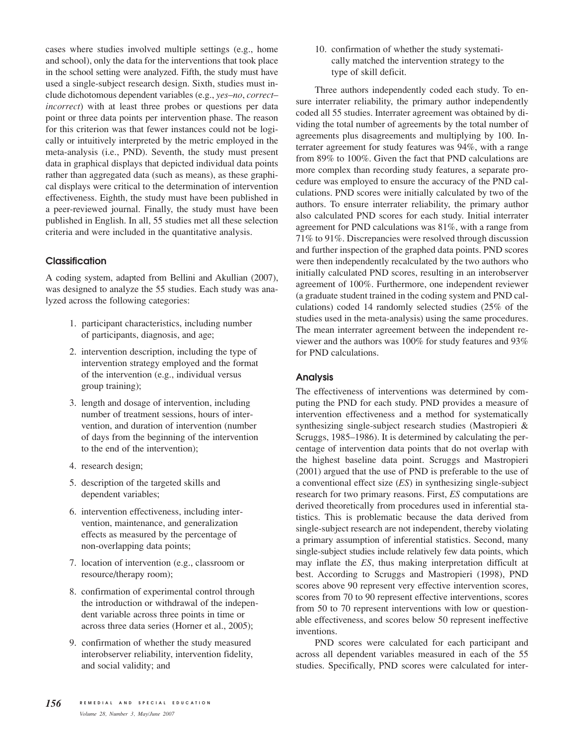cases where studies involved multiple settings (e.g., home and school), only the data for the interventions that took place in the school setting were analyzed. Fifth, the study must have used a single-subject research design. Sixth, studies must include dichotomous dependent variables (e.g., *yes*–*no*, *correct*– *incorrect*) with at least three probes or questions per data point or three data points per intervention phase. The reason for this criterion was that fewer instances could not be logically or intuitively interpreted by the metric employed in the meta-analysis (i.e., PND). Seventh, the study must present data in graphical displays that depicted individual data points rather than aggregated data (such as means), as these graphical displays were critical to the determination of intervention effectiveness. Eighth, the study must have been published in a peer-reviewed journal. Finally, the study must have been published in English. In all, 55 studies met all these selection criteria and were included in the quantitative analysis.

## **Classification**

A coding system, adapted from Bellini and Akullian (2007), was designed to analyze the 55 studies. Each study was analyzed across the following categories:

- 1. participant characteristics, including number of participants, diagnosis, and age;
- 2. intervention description, including the type of intervention strategy employed and the format of the intervention (e.g., individual versus group training);
- 3. length and dosage of intervention, including number of treatment sessions, hours of intervention, and duration of intervention (number of days from the beginning of the intervention to the end of the intervention);
- 4. research design;
- 5. description of the targeted skills and dependent variables;
- 6. intervention effectiveness, including intervention, maintenance, and generalization effects as measured by the percentage of non-overlapping data points;
- 7. location of intervention (e.g., classroom or resource/therapy room);
- 8. confirmation of experimental control through the introduction or withdrawal of the independent variable across three points in time or across three data series (Horner et al., 2005);
- 9. confirmation of whether the study measured interobserver reliability, intervention fidelity, and social validity; and

10. confirmation of whether the study systematically matched the intervention strategy to the type of skill deficit.

Three authors independently coded each study. To ensure interrater reliability, the primary author independently coded all 55 studies. Interrater agreement was obtained by dividing the total number of agreements by the total number of agreements plus disagreements and multiplying by 100. Interrater agreement for study features was 94%, with a range from 89% to 100%. Given the fact that PND calculations are more complex than recording study features, a separate procedure was employed to ensure the accuracy of the PND calculations. PND scores were initially calculated by two of the authors. To ensure interrater reliability, the primary author also calculated PND scores for each study. Initial interrater agreement for PND calculations was 81%, with a range from 71% to 91%. Discrepancies were resolved through discussion and further inspection of the graphed data points. PND scores were then independently recalculated by the two authors who initially calculated PND scores, resulting in an interobserver agreement of 100%. Furthermore, one independent reviewer (a graduate student trained in the coding system and PND calculations) coded 14 randomly selected studies (25% of the studies used in the meta-analysis) using the same procedures. The mean interrater agreement between the independent reviewer and the authors was 100% for study features and 93% for PND calculations.

#### **Analysis**

The effectiveness of interventions was determined by computing the PND for each study. PND provides a measure of intervention effectiveness and a method for systematically synthesizing single-subject research studies (Mastropieri & Scruggs, 1985–1986). It is determined by calculating the percentage of intervention data points that do not overlap with the highest baseline data point. Scruggs and Mastropieri (2001) argued that the use of PND is preferable to the use of a conventional effect size (*ES*) in synthesizing single-subject research for two primary reasons. First, *ES* computations are derived theoretically from procedures used in inferential statistics. This is problematic because the data derived from single-subject research are not independent, thereby violating a primary assumption of inferential statistics. Second, many single-subject studies include relatively few data points, which may inflate the *ES*, thus making interpretation difficult at best. According to Scruggs and Mastropieri (1998), PND scores above 90 represent very effective intervention scores, scores from 70 to 90 represent effective interventions, scores from 50 to 70 represent interventions with low or questionable effectiveness, and scores below 50 represent ineffective inventions.

PND scores were calculated for each participant and across all dependent variables measured in each of the 55 studies. Specifically, PND scores were calculated for inter-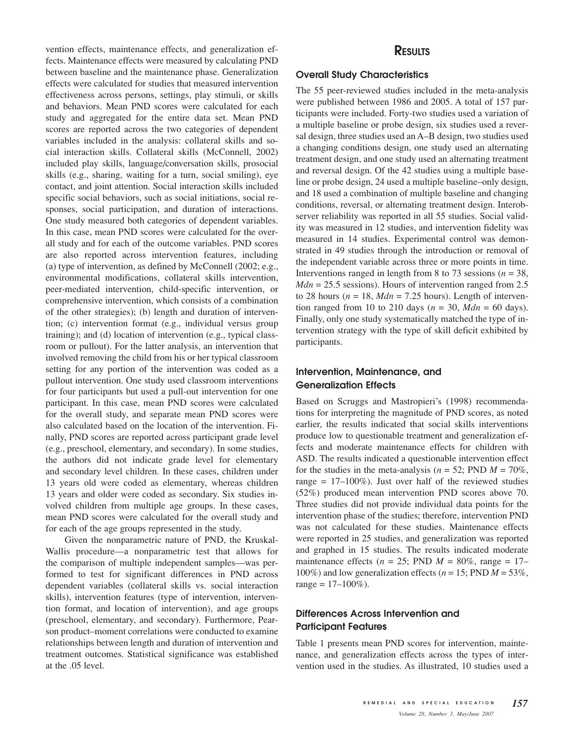vention effects, maintenance effects, and generalization effects. Maintenance effects were measured by calculating PND between baseline and the maintenance phase. Generalization effects were calculated for studies that measured intervention effectiveness across persons, settings, play stimuli, or skills and behaviors. Mean PND scores were calculated for each study and aggregated for the entire data set. Mean PND scores are reported across the two categories of dependent variables included in the analysis: collateral skills and social interaction skills. Collateral skills (McConnell, 2002) included play skills, language/conversation skills, prosocial skills (e.g., sharing, waiting for a turn, social smiling), eye contact, and joint attention. Social interaction skills included specific social behaviors, such as social initiations, social responses, social participation, and duration of interactions. One study measured both categories of dependent variables. In this case, mean PND scores were calculated for the overall study and for each of the outcome variables. PND scores are also reported across intervention features, including (a) type of intervention, as defined by McConnell (2002; e.g., environmental modifications, collateral skills intervention, peer-mediated intervention, child-specific intervention, or comprehensive intervention, which consists of a combination of the other strategies); (b) length and duration of intervention; (c) intervention format (e.g., individual versus group training); and (d) location of intervention (e.g., typical classroom or pullout). For the latter analysis, an intervention that involved removing the child from his or her typical classroom setting for any portion of the intervention was coded as a pullout intervention. One study used classroom interventions for four participants but used a pull-out intervention for one participant. In this case, mean PND scores were calculated for the overall study, and separate mean PND scores were also calculated based on the location of the intervention. Finally, PND scores are reported across participant grade level (e.g., preschool, elementary, and secondary). In some studies, the authors did not indicate grade level for elementary and secondary level children. In these cases, children under 13 years old were coded as elementary, whereas children 13 years and older were coded as secondary. Six studies involved children from multiple age groups. In these cases, mean PND scores were calculated for the overall study and for each of the age groups represented in the study.

Given the nonparametric nature of PND, the Kruskal-Wallis procedure—a nonparametric test that allows for the comparison of multiple independent samples—was performed to test for significant differences in PND across dependent variables (collateral skills vs. social interaction skills), intervention features (type of intervention, intervention format, and location of intervention), and age groups (preschool, elementary, and secondary). Furthermore, Pearson product–moment correlations were conducted to examine relationships between length and duration of intervention and treatment outcomes. Statistical significance was established at the .05 level.

## **RESULTS**

#### **Overall Study Characteristics**

The 55 peer-reviewed studies included in the meta-analysis were published between 1986 and 2005. A total of 157 participants were included. Forty-two studies used a variation of a multiple baseline or probe design, six studies used a reversal design, three studies used an A–B design, two studies used a changing conditions design, one study used an alternating treatment design, and one study used an alternating treatment and reversal design. Of the 42 studies using a multiple baseline or probe design, 24 used a multiple baseline–only design, and 18 used a combination of multiple baseline and changing conditions, reversal, or alternating treatment design. Interobserver reliability was reported in all 55 studies. Social validity was measured in 12 studies, and intervention fidelity was measured in 14 studies. Experimental control was demonstrated in 49 studies through the introduction or removal of the independent variable across three or more points in time. Interventions ranged in length from 8 to 73 sessions (*n* = 38, *Mdn* = 25.5 sessions). Hours of intervention ranged from 2.5 to 28 hours ( $n = 18$ ,  $Mdn = 7.25$  hours). Length of intervention ranged from 10 to 210 days  $(n = 30, Mdn = 60$  days). Finally, only one study systematically matched the type of intervention strategy with the type of skill deficit exhibited by participants.

## **Intervention, Maintenance, and Generalization Effects**

Based on Scruggs and Mastropieri's (1998) recommendations for interpreting the magnitude of PND scores, as noted earlier, the results indicated that social skills interventions produce low to questionable treatment and generalization effects and moderate maintenance effects for children with ASD. The results indicated a questionable intervention effect for the studies in the meta-analysis ( $n = 52$ ; PND  $M = 70\%$ , range =  $17-100\%$ ). Just over half of the reviewed studies (52%) produced mean intervention PND scores above 70. Three studies did not provide individual data points for the intervention phase of the studies; therefore, intervention PND was not calculated for these studies. Maintenance effects were reported in 25 studies, and generalization was reported and graphed in 15 studies. The results indicated moderate maintenance effects ( $n = 25$ ; PND  $M = 80\%$ , range = 17– 100%) and low generalization effects (*n* = 15; PND *M* = 53%, range =  $17-100\%$ ).

#### **Differences Across Intervention and Participant Features**

Table 1 presents mean PND scores for intervention, maintenance, and generalization effects across the types of intervention used in the studies. As illustrated, 10 studies used a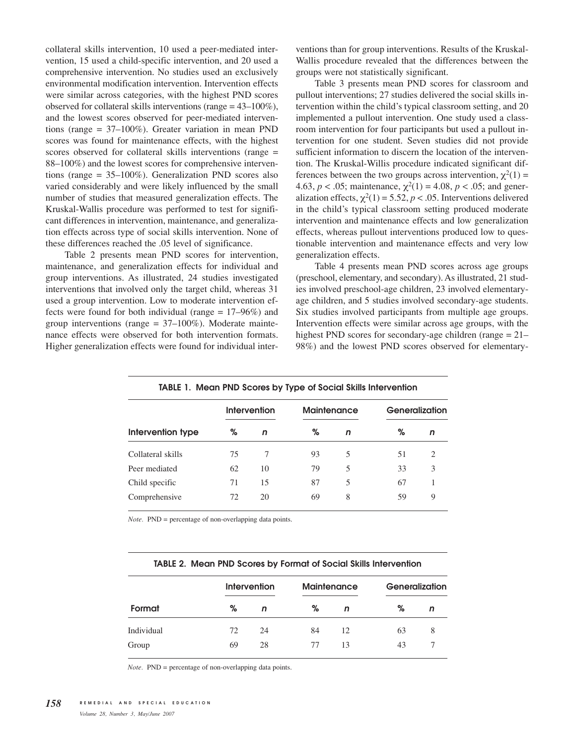collateral skills intervention, 10 used a peer-mediated intervention, 15 used a child-specific intervention, and 20 used a comprehensive intervention. No studies used an exclusively environmental modification intervention. Intervention effects were similar across categories, with the highest PND scores observed for collateral skills interventions (range  $= 43 - 100\%$ ), and the lowest scores observed for peer-mediated interventions (range = 37–100%). Greater variation in mean PND scores was found for maintenance effects, with the highest scores observed for collateral skills interventions (range = 88–100%) and the lowest scores for comprehensive interventions (range = 35–100%). Generalization PND scores also varied considerably and were likely influenced by the small number of studies that measured generalization effects. The Kruskal-Wallis procedure was performed to test for significant differences in intervention, maintenance, and generalization effects across type of social skills intervention. None of these differences reached the .05 level of significance.

Table 2 presents mean PND scores for intervention, maintenance, and generalization effects for individual and group interventions. As illustrated, 24 studies investigated interventions that involved only the target child, whereas 31 used a group intervention. Low to moderate intervention effects were found for both individual (range  $= 17-96\%$ ) and group interventions (range  $= 37-100\%$ ). Moderate maintenance effects were observed for both intervention formats. Higher generalization effects were found for individual interventions than for group interventions. Results of the Kruskal-Wallis procedure revealed that the differences between the groups were not statistically significant.

Table 3 presents mean PND scores for classroom and pullout interventions; 27 studies delivered the social skills intervention within the child's typical classroom setting, and 20 implemented a pullout intervention. One study used a classroom intervention for four participants but used a pullout intervention for one student. Seven studies did not provide sufficient information to discern the location of the intervention. The Kruskal-Willis procedure indicated significant differences between the two groups across intervention,  $\chi^2(1)$  = 4.63,  $p < .05$ ; maintenance,  $\chi^2(1) = 4.08$ ,  $p < .05$ ; and generalization effects,  $\chi^2(1) = 5.52$ ,  $p < .05$ . Interventions delivered in the child's typical classroom setting produced moderate intervention and maintenance effects and low generalization effects, whereas pullout interventions produced low to questionable intervention and maintenance effects and very low generalization effects.

Table 4 presents mean PND scores across age groups (preschool, elementary, and secondary). As illustrated, 21 studies involved preschool-age children, 23 involved elementaryage children, and 5 studies involved secondary-age students. Six studies involved participants from multiple age groups. Intervention effects were similar across age groups, with the highest PND scores for secondary-age children (range = 21– 98%) and the lowest PND scores observed for elementary-

|    |    |    |   | Generalization |   |  |
|----|----|----|---|----------------|---|--|
| %  | n  | ℅  | n | ℅              | n |  |
| 75 | 7  | 93 | 5 | 51             | 2 |  |
| 62 | 10 | 79 | 5 | 33             | 3 |  |
| 71 | 15 | 87 | 5 | 67             |   |  |
| 72 | 20 | 69 | 8 | 59             | 9 |  |
|    |    |    |   |                |   |  |

**TABLE 1. Mean PND Scores by Type of Social Skills Intervention**

*Note.* PND = percentage of non-overlapping data points.

|  |  |  |  |  |  |  |  |  | TABLE 2. Mean PND Scores by Format of Social Skills Intervention |
|--|--|--|--|--|--|--|--|--|------------------------------------------------------------------|
|--|--|--|--|--|--|--|--|--|------------------------------------------------------------------|

| Format     |    |              |    |                    |                |   |  |
|------------|----|--------------|----|--------------------|----------------|---|--|
|            |    | Intervention |    | <b>Maintenance</b> | Generalization |   |  |
|            | ℅  | n            | ℅  | n                  | %              | n |  |
| Individual | 72 | 24           | 84 | 12                 | 63             | 8 |  |
| Group      | 69 | 28           | 77 | 13                 | 43             |   |  |

*Note.* PND = percentage of non-overlapping data points.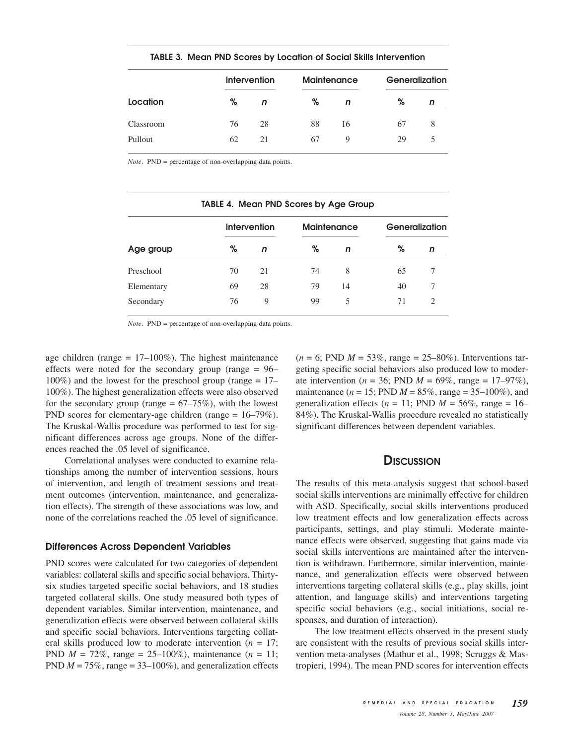| Location  |    | Intervention | <b>Maintenance</b> |    | Generalization |   |  |
|-----------|----|--------------|--------------------|----|----------------|---|--|
|           | ℅  | n            | ℅                  | n  | ℅              | n |  |
| Classroom | 76 | 28           | 88                 | 16 | 67             | 8 |  |
| Pullout   | 62 | 21           | 67                 | 9  | 29             |   |  |

**TABLE 3. Mean PND Scores by Location of Social Skills Intervention**

*Note.* PND = percentage of non-overlapping data points.

| TABLE 4. Mean PND Scores by Age Group |              |    |                    |    |                |                        |  |  |  |
|---------------------------------------|--------------|----|--------------------|----|----------------|------------------------|--|--|--|
| Age group                             | Intervention |    | <b>Maintenance</b> |    | Generalization |                        |  |  |  |
|                                       | ℅            | n  | ℅                  | n  | ℅              | n                      |  |  |  |
| Preschool                             | 70           | 21 | 74                 | 8  | 65             |                        |  |  |  |
| Elementary                            | 69           | 28 | 79                 | 14 | 40             |                        |  |  |  |
| Secondary                             | 76           | 9  | 99                 | 5  | 71             | $\mathfrak{D}_{\cdot}$ |  |  |  |

*Note.* PND = percentage of non-overlapping data points.

age children (range  $= 17-100\%$ ). The highest maintenance effects were noted for the secondary group (range  $= 96-$ 100%) and the lowest for the preschool group (range = 17– 100%). The highest generalization effects were also observed for the secondary group (range  $= 67-75\%$ ), with the lowest PND scores for elementary-age children (range = 16–79%). The Kruskal-Wallis procedure was performed to test for significant differences across age groups. None of the differences reached the .05 level of significance.

Correlational analyses were conducted to examine relationships among the number of intervention sessions, hours of intervention, and length of treatment sessions and treatment outcomes (intervention, maintenance, and generalization effects). The strength of these associations was low, and none of the correlations reached the .05 level of significance.

#### **Differences Across Dependent Variables**

PND scores were calculated for two categories of dependent variables: collateral skills and specific social behaviors. Thirtysix studies targeted specific social behaviors, and 18 studies targeted collateral skills. One study measured both types of dependent variables. Similar intervention, maintenance, and generalization effects were observed between collateral skills and specific social behaviors. Interventions targeting collateral skills produced low to moderate intervention (*n* = 17; PND  $M = 72\%$ , range = 25–100%), maintenance  $(n = 11)$ ; PND  $M = 75\%$ , range = 33–100%), and generalization effects

 $(n = 6; PND M = 53\%, \text{ range} = 25–80\%).$  Interventions targeting specific social behaviors also produced low to moderate intervention ( $n = 36$ ; PND  $M = 69\%$ , range = 17–97%), maintenance ( $n = 15$ ; PND  $M = 85\%$ , range = 35–100%), and generalization effects ( $n = 11$ ; PND  $M = 56\%$ , range = 16– 84%). The Kruskal-Wallis procedure revealed no statistically significant differences between dependent variables.

## **DISCUSSION**

The results of this meta-analysis suggest that school-based social skills interventions are minimally effective for children with ASD. Specifically, social skills interventions produced low treatment effects and low generalization effects across participants, settings, and play stimuli. Moderate maintenance effects were observed, suggesting that gains made via social skills interventions are maintained after the intervention is withdrawn. Furthermore, similar intervention, maintenance, and generalization effects were observed between interventions targeting collateral skills (e.g., play skills, joint attention, and language skills) and interventions targeting specific social behaviors (e.g., social initiations, social responses, and duration of interaction).

The low treatment effects observed in the present study are consistent with the results of previous social skills intervention meta-analyses (Mathur et al., 1998; Scruggs & Mastropieri, 1994). The mean PND scores for intervention effects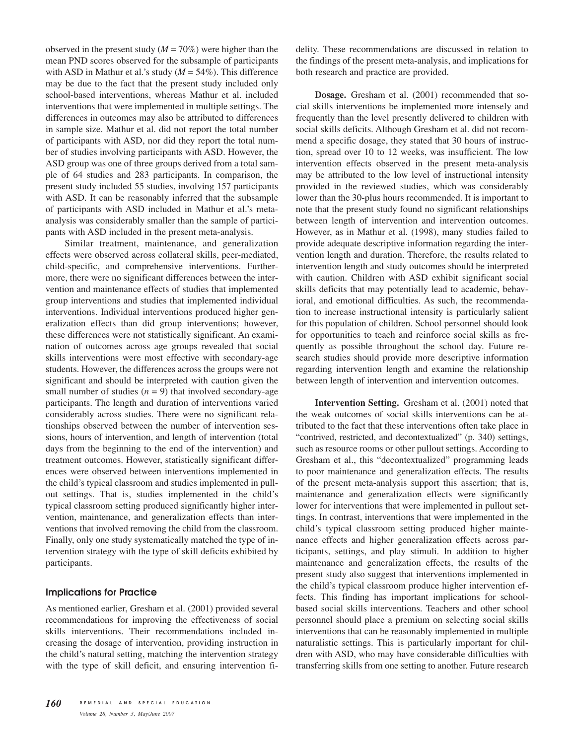observed in the present study  $(M = 70\%)$  were higher than the mean PND scores observed for the subsample of participants with ASD in Mathur et al.'s study (*M* = 54%). This difference may be due to the fact that the present study included only school-based interventions, whereas Mathur et al. included interventions that were implemented in multiple settings. The differences in outcomes may also be attributed to differences in sample size. Mathur et al. did not report the total number of participants with ASD, nor did they report the total number of studies involving participants with ASD. However, the ASD group was one of three groups derived from a total sample of 64 studies and 283 participants. In comparison, the present study included 55 studies, involving 157 participants with ASD. It can be reasonably inferred that the subsample of participants with ASD included in Mathur et al.'s metaanalysis was considerably smaller than the sample of participants with ASD included in the present meta-analysis.

Similar treatment, maintenance, and generalization effects were observed across collateral skills, peer-mediated, child-specific, and comprehensive interventions. Furthermore, there were no significant differences between the intervention and maintenance effects of studies that implemented group interventions and studies that implemented individual interventions. Individual interventions produced higher generalization effects than did group interventions; however, these differences were not statistically significant. An examination of outcomes across age groups revealed that social skills interventions were most effective with secondary-age students. However, the differences across the groups were not significant and should be interpreted with caution given the small number of studies  $(n = 9)$  that involved secondary-age participants. The length and duration of interventions varied considerably across studies. There were no significant relationships observed between the number of intervention sessions, hours of intervention, and length of intervention (total days from the beginning to the end of the intervention) and treatment outcomes. However, statistically significant differences were observed between interventions implemented in the child's typical classroom and studies implemented in pullout settings. That is, studies implemented in the child's typical classroom setting produced significantly higher intervention, maintenance, and generalization effects than interventions that involved removing the child from the classroom. Finally, only one study systematically matched the type of intervention strategy with the type of skill deficits exhibited by participants.

#### **Implications for Practice**

As mentioned earlier, Gresham et al. (2001) provided several recommendations for improving the effectiveness of social skills interventions. Their recommendations included increasing the dosage of intervention, providing instruction in the child's natural setting, matching the intervention strategy with the type of skill deficit, and ensuring intervention fidelity. These recommendations are discussed in relation to the findings of the present meta-analysis, and implications for both research and practice are provided.

**Dosage.** Gresham et al. (2001) recommended that social skills interventions be implemented more intensely and frequently than the level presently delivered to children with social skills deficits. Although Gresham et al. did not recommend a specific dosage, they stated that 30 hours of instruction, spread over 10 to 12 weeks, was insufficient. The low intervention effects observed in the present meta-analysis may be attributed to the low level of instructional intensity provided in the reviewed studies, which was considerably lower than the 30-plus hours recommended. It is important to note that the present study found no significant relationships between length of intervention and intervention outcomes. However, as in Mathur et al. (1998), many studies failed to provide adequate descriptive information regarding the intervention length and duration. Therefore, the results related to intervention length and study outcomes should be interpreted with caution. Children with ASD exhibit significant social skills deficits that may potentially lead to academic, behavioral, and emotional difficulties. As such, the recommendation to increase instructional intensity is particularly salient for this population of children. School personnel should look for opportunities to teach and reinforce social skills as frequently as possible throughout the school day. Future research studies should provide more descriptive information regarding intervention length and examine the relationship between length of intervention and intervention outcomes.

**Intervention Setting.** Gresham et al. (2001) noted that the weak outcomes of social skills interventions can be attributed to the fact that these interventions often take place in "contrived, restricted, and decontextualized" (p. 340) settings, such as resource rooms or other pullout settings. According to Gresham et al., this "decontextualized" programming leads to poor maintenance and generalization effects. The results of the present meta-analysis support this assertion; that is, maintenance and generalization effects were significantly lower for interventions that were implemented in pullout settings. In contrast, interventions that were implemented in the child's typical classroom setting produced higher maintenance effects and higher generalization effects across participants, settings, and play stimuli. In addition to higher maintenance and generalization effects, the results of the present study also suggest that interventions implemented in the child's typical classroom produce higher intervention effects. This finding has important implications for schoolbased social skills interventions. Teachers and other school personnel should place a premium on selecting social skills interventions that can be reasonably implemented in multiple naturalistic settings. This is particularly important for children with ASD, who may have considerable difficulties with transferring skills from one setting to another. Future research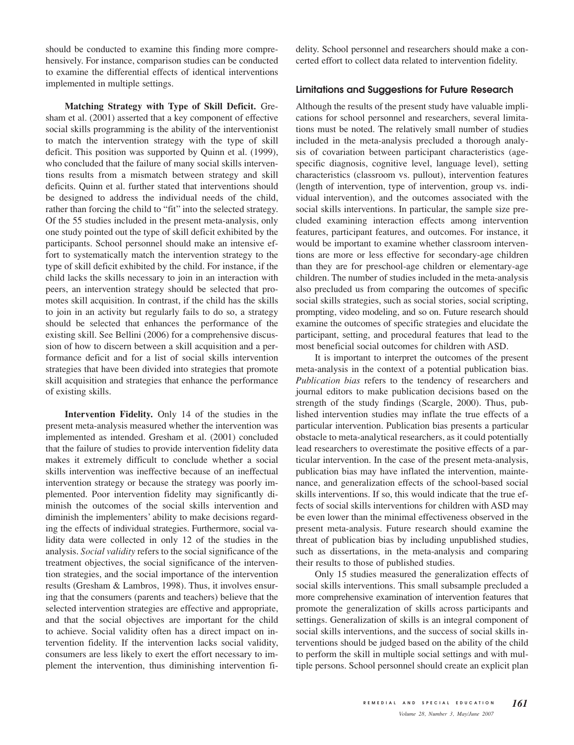should be conducted to examine this finding more comprehensively. For instance, comparison studies can be conducted to examine the differential effects of identical interventions implemented in multiple settings.

**Matching Strategy with Type of Skill Deficit.** Gresham et al. (2001) asserted that a key component of effective social skills programming is the ability of the interventionist to match the intervention strategy with the type of skill deficit. This position was supported by Quinn et al. (1999), who concluded that the failure of many social skills interventions results from a mismatch between strategy and skill deficits. Quinn et al. further stated that interventions should be designed to address the individual needs of the child, rather than forcing the child to "fit" into the selected strategy. Of the 55 studies included in the present meta-analysis, only one study pointed out the type of skill deficit exhibited by the participants. School personnel should make an intensive effort to systematically match the intervention strategy to the type of skill deficit exhibited by the child. For instance, if the child lacks the skills necessary to join in an interaction with peers, an intervention strategy should be selected that promotes skill acquisition. In contrast, if the child has the skills to join in an activity but regularly fails to do so, a strategy should be selected that enhances the performance of the existing skill. See Bellini (2006) for a comprehensive discussion of how to discern between a skill acquisition and a performance deficit and for a list of social skills intervention strategies that have been divided into strategies that promote skill acquisition and strategies that enhance the performance of existing skills.

**Intervention Fidelity.** Only 14 of the studies in the present meta-analysis measured whether the intervention was implemented as intended. Gresham et al. (2001) concluded that the failure of studies to provide intervention fidelity data makes it extremely difficult to conclude whether a social skills intervention was ineffective because of an ineffectual intervention strategy or because the strategy was poorly implemented. Poor intervention fidelity may significantly diminish the outcomes of the social skills intervention and diminish the implementers' ability to make decisions regarding the effects of individual strategies. Furthermore, social validity data were collected in only 12 of the studies in the analysis. *Social validity* refers to the social significance of the treatment objectives, the social significance of the intervention strategies, and the social importance of the intervention results (Gresham & Lambros, 1998). Thus, it involves ensuring that the consumers (parents and teachers) believe that the selected intervention strategies are effective and appropriate, and that the social objectives are important for the child to achieve. Social validity often has a direct impact on intervention fidelity. If the intervention lacks social validity, consumers are less likely to exert the effort necessary to implement the intervention, thus diminishing intervention fidelity. School personnel and researchers should make a concerted effort to collect data related to intervention fidelity.

#### **Limitations and Suggestions for Future Research**

Although the results of the present study have valuable implications for school personnel and researchers, several limitations must be noted. The relatively small number of studies included in the meta-analysis precluded a thorough analysis of covariation between participant characteristics (agespecific diagnosis, cognitive level, language level), setting characteristics (classroom vs. pullout), intervention features (length of intervention, type of intervention, group vs. individual intervention), and the outcomes associated with the social skills interventions. In particular, the sample size precluded examining interaction effects among intervention features, participant features, and outcomes. For instance, it would be important to examine whether classroom interventions are more or less effective for secondary-age children than they are for preschool-age children or elementary-age children. The number of studies included in the meta-analysis also precluded us from comparing the outcomes of specific social skills strategies, such as social stories, social scripting, prompting, video modeling, and so on. Future research should examine the outcomes of specific strategies and elucidate the participant, setting, and procedural features that lead to the most beneficial social outcomes for children with ASD.

It is important to interpret the outcomes of the present meta-analysis in the context of a potential publication bias. *Publication bias* refers to the tendency of researchers and journal editors to make publication decisions based on the strength of the study findings (Scargle, 2000). Thus, published intervention studies may inflate the true effects of a particular intervention. Publication bias presents a particular obstacle to meta-analytical researchers, as it could potentially lead researchers to overestimate the positive effects of a particular intervention. In the case of the present meta-analysis, publication bias may have inflated the intervention, maintenance, and generalization effects of the school-based social skills interventions. If so, this would indicate that the true effects of social skills interventions for children with ASD may be even lower than the minimal effectiveness observed in the present meta-analysis. Future research should examine the threat of publication bias by including unpublished studies, such as dissertations, in the meta-analysis and comparing their results to those of published studies.

Only 15 studies measured the generalization effects of social skills interventions. This small subsample precluded a more comprehensive examination of intervention features that promote the generalization of skills across participants and settings. Generalization of skills is an integral component of social skills interventions, and the success of social skills interventions should be judged based on the ability of the child to perform the skill in multiple social settings and with multiple persons. School personnel should create an explicit plan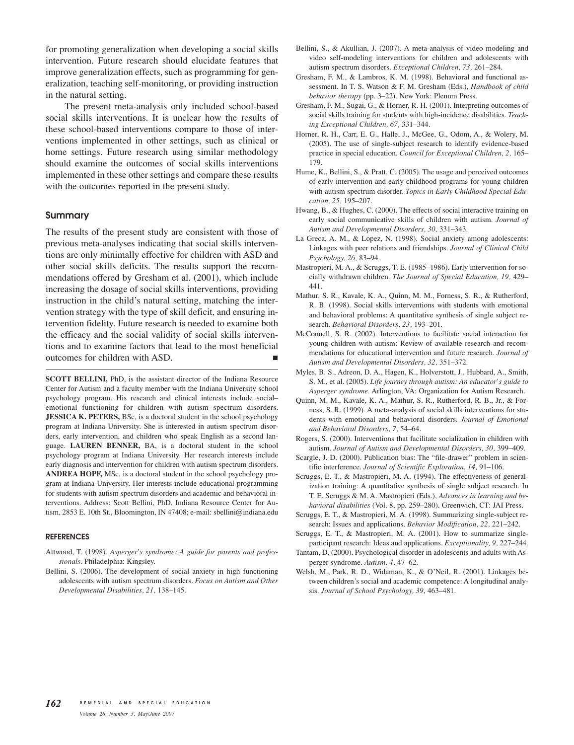for promoting generalization when developing a social skills intervention. Future research should elucidate features that improve generalization effects, such as programming for generalization, teaching self-monitoring, or providing instruction in the natural setting.

The present meta-analysis only included school-based social skills interventions. It is unclear how the results of these school-based interventions compare to those of interventions implemented in other settings, such as clinical or home settings. Future research using similar methodology should examine the outcomes of social skills interventions implemented in these other settings and compare these results with the outcomes reported in the present study.

#### **Summary**

The results of the present study are consistent with those of previous meta-analyses indicating that social skills interventions are only minimally effective for children with ASD and other social skills deficits. The results support the recommendations offered by Gresham et al. (2001), which include increasing the dosage of social skills interventions, providing instruction in the child's natural setting, matching the intervention strategy with the type of skill deficit, and ensuring intervention fidelity. Future research is needed to examine both the efficacy and the social validity of social skills interventions and to examine factors that lead to the most beneficial outcomes for children with ASD.

**SCOTT BELLINI,** PhD, is the assistant director of the Indiana Resource Center for Autism and a faculty member with the Indiana University school psychology program. His research and clinical interests include social– emotional functioning for children with autism spectrum disorders. **JESSICA K. PETERS, BSc.** is a doctoral student in the school psychology program at Indiana University. She is interested in autism spectrum disorders, early intervention, and children who speak English as a second language. **LAUREN BENNER,** BA, is a doctoral student in the school psychology program at Indiana University. Her research interests include early diagnosis and intervention for children with autism spectrum disorders. **ANDREA HOPF,** MSc, is a doctoral student in the school psychology program at Indiana University. Her interests include educational programming for students with autism spectrum disorders and academic and behavioral interventions. Address: Scott Bellini, PhD, Indiana Resource Center for Autism, 2853 E. 10th St., Bloomington, IN 47408; e-mail: sbellini@indiana.edu

#### **REFERENCES**

- Attwood, T. (1998). *Asperger's syndrome: A guide for parents and professionals.* Philadelphia: Kingsley.
- Bellini, S. (2006). The development of social anxiety in high functioning adolescents with autism spectrum disorders. *Focus on Autism and Other Developmental Disabilities, 21,* 138–145.
- Bellini, S., & Akullian, J. (2007). A meta-analysis of video modeling and video self-modeling interventions for children and adolescents with autism spectrum disorders. *Exceptional Children, 73,* 261–284.
- Gresham, F. M., & Lambros, K. M. (1998). Behavioral and functional assessment. In T. S. Watson & F. M. Gresham (Eds.), *Handbook of child behavior therapy* (pp. 3–22). New York: Plenum Press.
- Gresham, F. M., Sugai, G., & Horner, R. H. (2001). Interpreting outcomes of social skills training for students with high-incidence disabilities. *Teaching Exceptional Children, 67,* 331–344.
- Horner, R. H., Carr, E. G., Halle, J., McGee, G., Odom, A., & Wolery, M. (2005). The use of single-subject research to identify evidence-based practice in special education. *Council for Exceptional Children, 2,* 165– 179.
- Hume, K., Bellini, S., & Pratt, C. (2005). The usage and perceived outcomes of early intervention and early childhood programs for young children with autism spectrum disorder. *Topics in Early Childhood Special Education, 25,* 195–207.
- Hwang, B., & Hughes, C. (2000). The effects of social interactive training on early social communicative skills of children with autism. *Journal of Autism and Developmental Disorders, 30,* 331–343.
- La Greca, A. M., & Lopez, N. (1998). Social anxiety among adolescents: Linkages with peer relations and friendships. *Journal of Clinical Child Psychology, 26,* 83–94.
- Mastropieri, M. A., & Scruggs, T. E. (1985–1986). Early intervention for socially withdrawn children. *The Journal of Special Education, 19,* 429– 441.
- Mathur, S. R., Kavale, K. A., Quinn, M. M., Forness, S. R., & Rutherford, R. B. (1998). Social skills interventions with students with emotional and behavioral problems: A quantitative synthesis of single subject research. *Behavioral Disorders, 23,* 193–201.
- McConnell, S. R. (2002). Interventions to facilitate social interaction for young children with autism: Review of available research and recommendations for educational intervention and future research. *Journal of Autism and Developmental Disorders, 32,* 351–372.
- Myles, B. S., Adreon, D. A., Hagen, K., Holverstott, J., Hubbard, A., Smith, S. M., et al. (2005). *Life journey through autism: An educator's guide to Asperger syndrome.* Arlington, VA: Organization for Autism Research.
- Quinn, M. M., Kavale, K. A., Mathur, S. R., Rutherford, R. B., Jr., & Forness, S. R. (1999). A meta-analysis of social skills interventions for students with emotional and behavioral disorders. *Journal of Emotional and Behavioral Disorders, 7,* 54–64.
- Rogers, S. (2000). Interventions that facilitate socialization in children with autism. *Journal of Autism and Developmental Disorders, 30,* 399–409.
- Scargle, J. D. (2000). Publication bias: The "file-drawer" problem in scientific interference. *Journal of Scientific Exploration, 14,* 91–106.
- Scruggs, E. T., & Mastropieri, M. A. (1994). The effectiveness of generalization training: A quantitative synthesis of single subject research. In T. E. Scruggs & M. A. Mastropieri (Eds.), *Advances in learning and behavioral disabilities* (Vol. 8, pp. 259–280). Greenwich, CT: JAI Press.
- Scruggs, E. T., & Mastropieri, M. A. (1998). Summarizing single-subject research: Issues and applications. *Behavior Modification, 22,* 221–242.
- Scruggs, E. T., & Mastropieri, M. A. (2001). How to summarize singleparticipant research: Ideas and applications. *Exceptionality, 9,* 227–244.
- Tantam, D. (2000). Psychological disorder in adolescents and adults with Asperger syndrome. *Autism, 4,* 47–62.
- Welsh, M., Park, R. D., Widaman, K., & O'Neil, R. (2001). Linkages between children's social and academic competence: A longitudinal analysis. *Journal of School Psychology, 39*, 463–481.